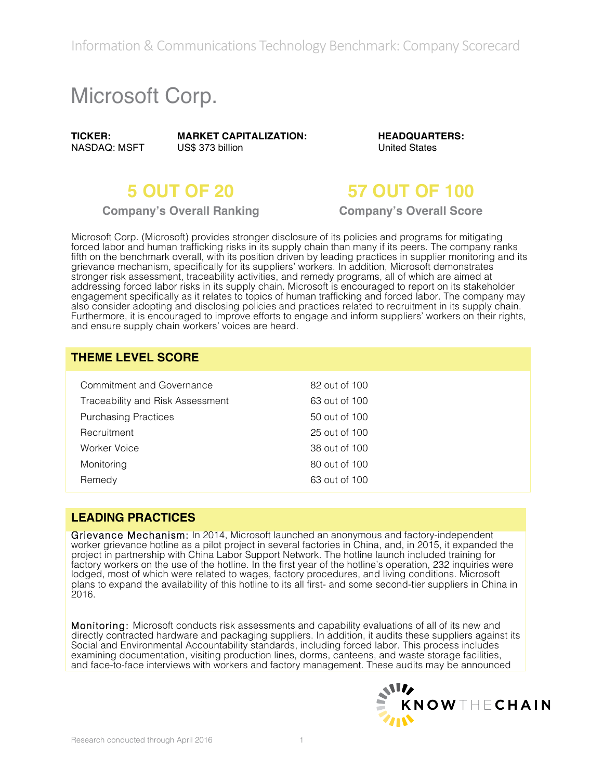Information & Communications Technology Benchmark: Company Scorecard

# Microsoft Corp.

**TICKER:** NASDAQ: MSFT **MARKET CAPITALIZATION:** US\$ 373 billion

**HEADQUARTERS:** United States

**Company's Overall Ranking Company's Overall Score**

## **5 OUT OF 20 57 OUT OF 100**

Microsoft Corp. (Microsoft) provides stronger disclosure of its policies and programs for mitigating forced labor and human trafficking risks in its supply chain than many if its peers. The company ranks fifth on the benchmark overall, with its position driven by leading practices in supplier monitoring and its grievance mechanism, specifically for its suppliers' workers. In addition, Microsoft demonstrates stronger risk assessment, traceability activities, and remedy programs, all of which are aimed at addressing forced labor risks in its supply chain. Microsoft is encouraged to report on its stakeholder engagement specifically as it relates to topics of human trafficking and forced labor. The company may also consider adopting and disclosing policies and practices related to recruitment in its supply chain. Furthermore, it is encouraged to improve efforts to engage and inform suppliers' workers on their rights, and ensure supply chain workers' voices are heard.

#### **THEME LEVEL SCORE**

| Commitment and Governance        | 82 out of 100 |
|----------------------------------|---------------|
| Traceability and Risk Assessment | 63 out of 100 |
| <b>Purchasing Practices</b>      | 50 out of 100 |
| Recruitment                      | 25 out of 100 |
| Worker Voice                     | 38 out of 100 |
| Monitoring                       | 80 out of 100 |
| Remedy                           | 63 out of 100 |

#### **LEADING PRACTICES**

Grievance Mechanism: In 2014, Microsoft launched an anonymous and factory-independent worker grievance hotline as a pilot project in several factories in China, and, in 2015, it expanded the project in partnership with China Labor Support Network. The hotline launch included training for factory workers on the use of the hotline. In the first year of the hotline's operation, 232 inquiries were lodged, most of which were related to wages, factory procedures, and living conditions. Microsoft plans to expand the availability of this hotline to its all first- and some second-tier suppliers in China in 2016.

Monitoring: Microsoft conducts risk assessments and capability evaluations of all of its new and directly contracted hardware and packaging suppliers. In addition, it audits these suppliers against its Social and Environmental Accountability standards, including forced labor. This process includes examining documentation, visiting production lines, dorms, canteens, and waste storage facilities, and face-to-face interviews with workers and factory management. These audits may be announced

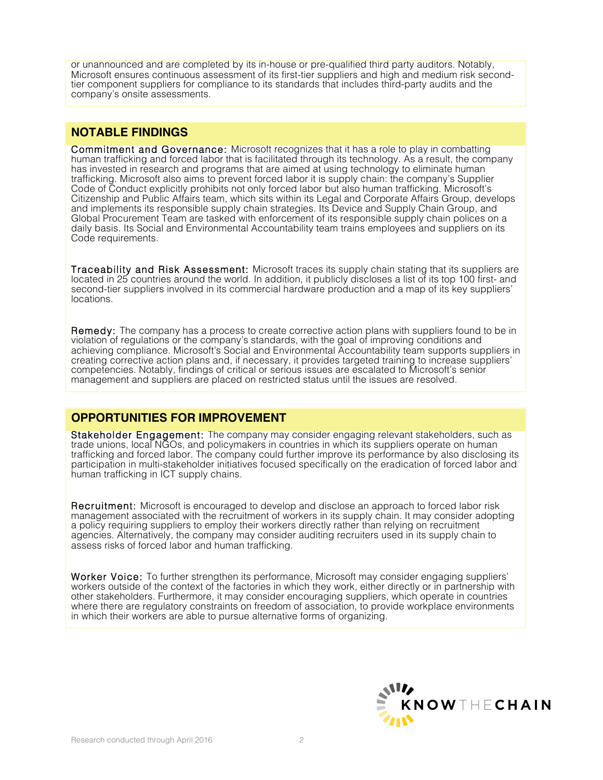or unannounced and are completed by its in-house or pre-qualified third party auditors. Notably,<br>Microsoft ensures continuous assessment of its first-tier suppliers and high and medium risk secondtier component suppliers for compliance to its standards that includes third-party audits and the company's onsite assessments.

#### **NOTABLE FINDINGS**

Commitment and Governance: Microsoft recognizes that it has a role to play in combatting human trafficking and forced labor that is facilitated through its technology. As a result, the company has invested in research and programs that are aimed at using technology to eliminate human trafficking. Microsoft also aims to prevent forced labor it is supply chain: the company's Supplier Code of Conduct explicitly prohibits not only forced labor but also human trafficking. Microsoft's Citizenship and Public Affairs team, which sits within its Legal and Corporate Affairs Group, develops and implements its responsible supply chain strategies. Its Device and Supply Chain Group, and Global Procurement Team are tasked with enforcement of its responsible supply chain polices on a daily basis. Its Social and Environmental Accountability team trains employees and suppliers on its Code requirements.

Traceability and Risk Assessment: Microsoft traces its supply chain stating that its suppliers are located in 25 countries around the world. In addition, it publicly discloses a list of its top 100 first- and second-tier suppliers involved in its commercial hardware production and a map of its key suppliers' locations.

Remedy: The company has a process to create corrective action plans with suppliers found to be in violation of regulations or the company's standards, with the goal of improving conditions and achieving compliance. Microsoft's Social and Environmental Accountability team supports suppliers in creating corrective action plans and, if necessary, it provides targeted training to increase suppliers' competencies. Notably, findings of critical or serious issues are escalated to Microsoft's senior management and suppliers are placed on restricted status until the issues are resolved.

#### **OPPORTUNITIES FOR IMPROVEMENT**

Stakeholder Engagement: The company may consider engaging relevant stakeholders, such as trade unions, local NGOs, and policymakers in countries in which its suppliers operate on human trafficking and forced labor. The company could further improve its performance by also disclosing its participation in multi-stakeholder initiatives focused specifically on the eradication of forced labor and human trafficking in ICT supply chains.

Recruitment: Microsoft is encouraged to develop and disclose an approach to forced labor risk management associated with the recruitment of workers in its supply chain. It may consider adopting a policy requiring suppliers to employ their workers directly rather than relying on recruitment agencies. Alternatively, the company may consider auditing recruiters used in its supply chain to assess risks of forced labor and human trafficking.

Worker Voice: To further strengthen its performance, Microsoft may consider engaging suppliers' workers outside of the context of the factories in which they work, either directly or in partnership with other stakeholders. Furthermore, it may consider encouraging suppliers, which operate in countries where there are regulatory constraints on freedom of association, to provide workplace environments in which their workers are able to pursue alternative forms of organizing.